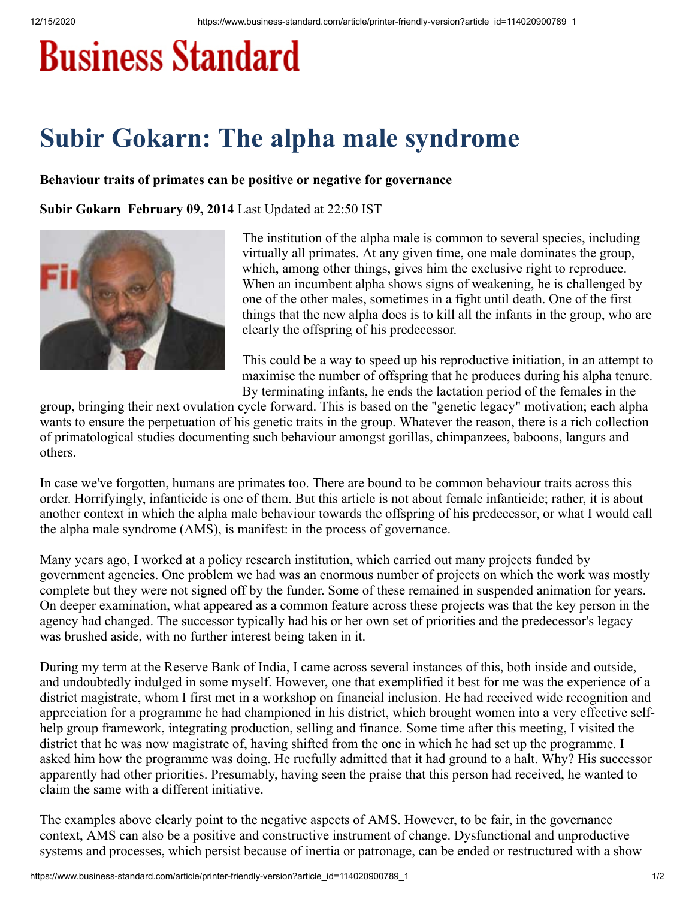## **Business Standard**

## **Subir Gokarn: The alpha male syndrome**

## **Behaviour traits of primates can be positive or negative for governance**

**Subir Gokarn February 09, 2014** Last Updated at 22:50 IST



The institution of the alpha male is common to several species, including virtually all primates. At any given time, one male dominates the group, which, among other things, gives him the exclusive right to reproduce. When an incumbent alpha shows signs of weakening, he is challenged by one of the other males, sometimes in a fight until death. One of the first things that the new alpha does is to kill all the infants in the group, who are clearly the offspring of his predecessor.

This could be a way to speed up his reproductive initiation, in an attempt to maximise the number of offspring that he produces during his alpha tenure. By terminating infants, he ends the lactation period of the females in the

group, bringing their next ovulation cycle forward. This is based on the "genetic legacy" motivation; each alpha wants to ensure the perpetuation of his genetic traits in the group. Whatever the reason, there is a rich collection of primatological studies documenting such behaviour amongst gorillas, chimpanzees, baboons, langurs and others.

In case we've forgotten, humans are primates too. There are bound to be common behaviour traits across this order. Horrifyingly, infanticide is one of them. But this article is not about female infanticide; rather, it is about another context in which the alpha male behaviour towards the offspring of his predecessor, or what I would call the alpha male syndrome (AMS), is manifest: in the process of governance.

Many years ago, I worked at a policy research institution, which carried out many projects funded by government agencies. One problem we had was an enormous number of projects on which the work was mostly complete but they were not signed off by the funder. Some of these remained in suspended animation for years. On deeper examination, what appeared as a common feature across these projects was that the key person in the agency had changed. The successor typically had his or her own set of priorities and the predecessor's legacy was brushed aside, with no further interest being taken in it.

During my term at the Reserve Bank of India, I came across several instances of this, both inside and outside, and undoubtedly indulged in some myself. However, one that exemplified it best for me was the experience of a district magistrate, whom I first met in a workshop on financial inclusion. He had received wide recognition and appreciation for a programme he had championed in his district, which brought women into a very effective selfhelp group framework, integrating production, selling and finance. Some time after this meeting, I visited the district that he was now magistrate of, having shifted from the one in which he had set up the programme. I asked him how the programme was doing. He ruefully admitted that it had ground to a halt. Why? His successor apparently had other priorities. Presumably, having seen the praise that this person had received, he wanted to claim the same with a different initiative.

The examples above clearly point to the negative aspects of AMS. However, to be fair, in the governance context, AMS can also be a positive and constructive instrument of change. Dysfunctional and unproductive systems and processes, which persist because of inertia or patronage, can be ended or restructured with a show